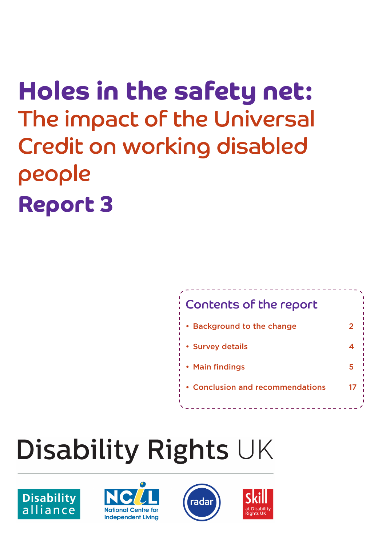## Holes in the safety net: The impact of the Universal Credit on working disabled people Report 3



## **Disability Rights UK**







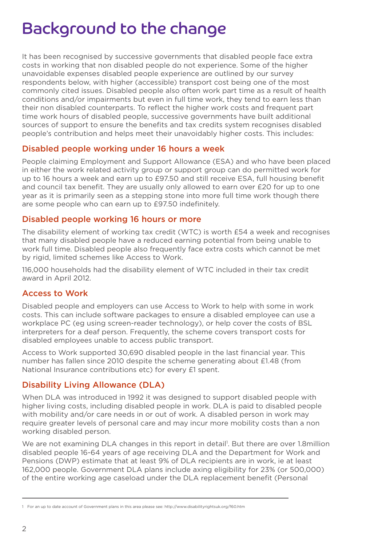## Background to the change

It has been recognised by successive governments that disabled people face extra costs in working that non disabled people do not experience. Some of the higher unavoidable expenses disabled people experience are outlined by our survey respondents below, with higher (accessible) transport cost being one of the most commonly cited issues. Disabled people also often work part time as a result of health conditions and/or impairments but even in full time work, they tend to earn less than their non disabled counterparts. To reflect the higher work costs and frequent part time work hours of disabled people, successive governments have built additional sources of support to ensure the benefits and tax credits system recognises disabled people's contribution and helps meet their unavoidably higher costs. This includes:

#### Disabled people working under 16 hours a week

People claiming Employment and Support Allowance (ESA) and who have been placed in either the work related activity group or support group can do permitted work for up to 16 hours a week and earn up to £97.50 and still receive ESA, full housing benefit and council tax benefit. They are usually only allowed to earn over £20 for up to one year as it is primarily seen as a stepping stone into more full time work though there are some people who can earn up to £97.50 indefinitely.

#### Disabled people working 16 hours or more

The disability element of working tax credit (WTC) is worth £54 a week and recognises that many disabled people have a reduced earning potential from being unable to work full time. Disabled people also frequently face extra costs which cannot be met by rigid, limited schemes like Access to Work.

116,000 households had the disability element of WTC included in their tax credit award in April 2012.

#### Access to Work

Disabled people and employers can use Access to Work to help with some in work costs. This can include software packages to ensure a disabled employee can use a workplace PC (eg using screen-reader technology), or help cover the costs of BSL interpreters for a deaf person. Frequently, the scheme covers transport costs for disabled employees unable to access public transport.

Access to Work supported 30,690 disabled people in the last financial year. This number has fallen since 2010 despite the scheme generating about £1.48 (from National Insurance contributions etc) for every £1 spent.

#### Disability Living Allowance (DLA)

When DLA was introduced in 1992 it was designed to support disabled people with higher living costs, including disabled people in work. DLA is paid to disabled people with mobility and/or care needs in or out of work. A disabled person in work may require greater levels of personal care and may incur more mobility costs than a non working disabled person.

We are not examining DLA changes in this report in detail<sup>1</sup>. But there are over 1.8million disabled people 16-64 years of age receiving DLA and the Department for Work and Pensions (DWP) estimate that at least 9% of DLA recipients are in work, ie at least 162,000 people. Government DLA plans include axing eligibility for 23% (or 500,000) of the entire working age caseload under the DLA replacement benefit (Personal

<sup>1</sup> For an up to date account of Government plans in this area please see: http://www.disabilityrightsuk.org/f60.htm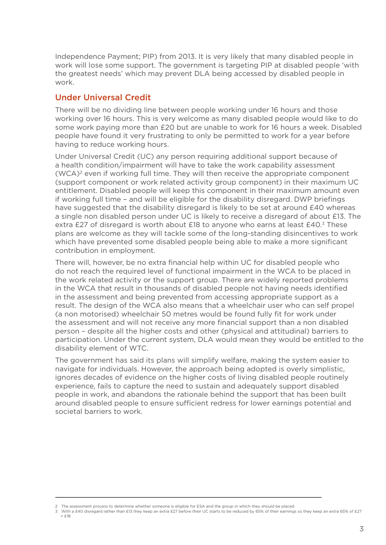Independence Payment; PIP) from 2013. It is very likely that many disabled people in work will lose some support. The government is targeting PIP at disabled people 'with the greatest needs' which may prevent DLA being accessed by disabled people in work.

#### Under Universal Credit

There will be no dividing line between people working under 16 hours and those working over 16 hours. This is very welcome as many disabled people would like to do some work paying more than £20 but are unable to work for 16 hours a week. Disabled people have found it very frustrating to only be permitted to work for a year before having to reduce working hours.

Under Universal Credit (UC) any person requiring additional support because of a health condition/impairment will have to take the work capability assessment (WCA)2 even if working full time. They will then receive the appropriate component (support component or work related activity group component) in their maximum UC entitlement. Disabled people will keep this component in their maximum amount even if working full time – and will be eligible for the disability disregard. DWP briefings have suggested that the disability disregard is likely to be set at around £40 whereas a single non disabled person under UC is likely to receive a disregard of about £13. The extra £27 of disregard is worth about £18 to anyone who earns at least  $£40<sup>3</sup>$  These plans are welcome as they will tackle some of the long-standing disincentives to work which have prevented some disabled people being able to make a more significant contribution in employment.

There will, however, be no extra financial help within UC for disabled people who do not reach the required level of functional impairment in the WCA to be placed in the work related activity or the support group. There are widely reported problems in the WCA that result in thousands of disabled people not having needs identified in the assessment and being prevented from accessing appropriate support as a result. The design of the WCA also means that a wheelchair user who can self propel (a non motorised) wheelchair 50 metres would be found fully fit for work under the assessment and will not receive any more financial support than a non disabled person – despite all the higher costs and other (physical and attitudinal) barriers to participation. Under the current system, DLA would mean they would be entitled to the disability element of WTC.

The government has said its plans will simplify welfare, making the system easier to navigate for individuals. However, the approach being adopted is overly simplistic, ignores decades of evidence on the higher costs of living disabled people routinely experience, fails to capture the need to sustain and adequately support disabled people in work, and abandons the rationale behind the support that has been built around disabled people to ensure sufficient redress for lower earnings potential and societal barriers to work.

= £18

<sup>2</sup> The assessment process to determine whether someone is eligible for ESA and the group in which they should be placed

<sup>3</sup> With a £40 disregard rather than £13 they keep an extra £27 before their UC starts to be reduced by 65% of their earnings so they keep an extra 65% of £27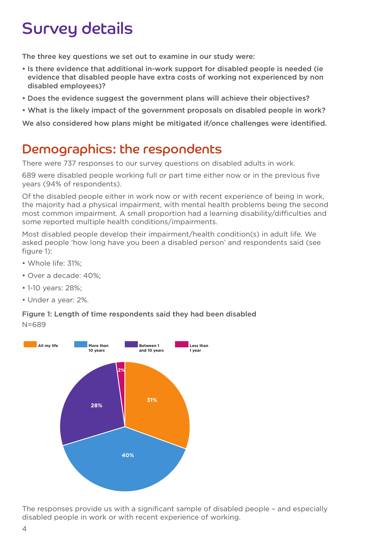## Survey details

The three key questions we set out to examine in our study were:

- • Is there evidence that additional in-work support for disabled people is needed (ie evidence that disabled people have extra costs of working not experienced by non disabled employees)?
- Does the evidence suggest the government plans will achieve their objectives?
- What is the likely impact of the government proposals on disabled people in work?

We also considered how plans might be mitigated if/once challenges were identified.

### Demographics: the respondents

There were 737 responses to our survey questions on disabled adults in work.

689 were disabled people working full or part time either now or in the previous five years (94% of respondents).

Of the disabled people either in work now or with recent experience of being in work, the majority had a physical impairment, with mental health problems being the second most common impairment. A small proportion had a learning disability/difficulties and some reported multiple health conditions/impairments.

Most disabled people develop their impairment/health condition(s) in adult life. We asked people 'how long have you been a disabled person' and respondents said (see figure 1):

- Whole life: 31%;
- Over a decade: 40%;
- 1-10 years: 28%;
- Under a year: 2%.

#### Figure 1: Length of time respondents said they had been disabled

N=689



The responses provide us with a significant sample of disabled people – and especially disabled people in work or with recent experience of working.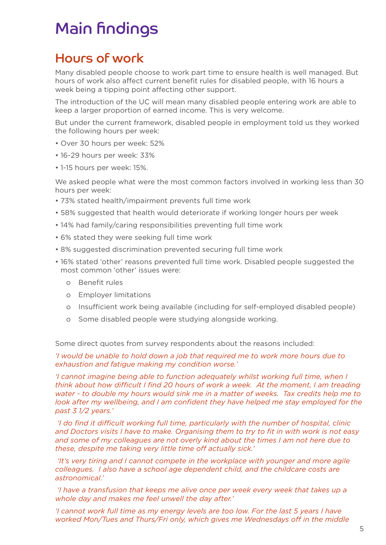## Main findings

## Hours of work

Many disabled people choose to work part time to ensure health is well managed. But hours of work also affect current benefit rules for disabled people, with 16 hours a week being a tipping point affecting other support.

The introduction of the UC will mean many disabled people entering work are able to keep a larger proportion of earned income. This is very welcome.

But under the current framework, disabled people in employment told us they worked the following hours per week:

- Over 30 hours per week: 52%
- 16-29 hours per week: 33%
- 1-15 hours per week: 15%.

We asked people what were the most common factors involved in working less than 30 hours per week:

- 73% stated health/impairment prevents full time work
- 58% suggested that health would deteriorate if working longer hours per week
- 14% had family/caring responsibilities preventing full time work
- 6% stated they were seeking full time work
- 8% suggested discrimination prevented securing full time work
- 16% stated 'other' reasons prevented full time work. Disabled people suggested the most common 'other' issues were:
	- o Benefit rules
	- o Employer limitations
	- o Insufficient work being available (including for self-employed disabled people)
	- o Some disabled people were studying alongside working.

Some direct quotes from survey respondents about the reasons included:

*'I would be unable to hold down a job that required me to work more hours due to exhaustion and fatigue making my condition worse.'*

*'I cannot imagine being able to function adequately whilst working full time, when I think about how difficult I find 20 hours of work a week. At the moment, I am treading water - to double my hours would sink me in a matter of weeks. Tax credits help me to look after my wellbeing, and I am confident they have helped me stay employed for the past 3 1/2 years.'*

 *'I do find it difficult working full time, particularly with the number of hospital, clinic and Doctors visits I have to make. Organising them to try to fit in with work is not easy and some of my colleagues are not overly kind about the times I am not here due to these, despite me taking very little time off actually sick.'*

 *'It's very tiring and I cannot compete in the workplace with younger and more agile colleagues. I also have a school age dependent child, and the childcare costs are astronomical.'*

 *'I have a transfusion that keeps me alive once per week every week that takes up a whole day and makes me feel unwell the day after.'*

*'I cannot work full time as my energy levels are too low. For the last 5 years I have worked Mon/Tues and Thurs/Fri only, which gives me Wednesdays off in the middle*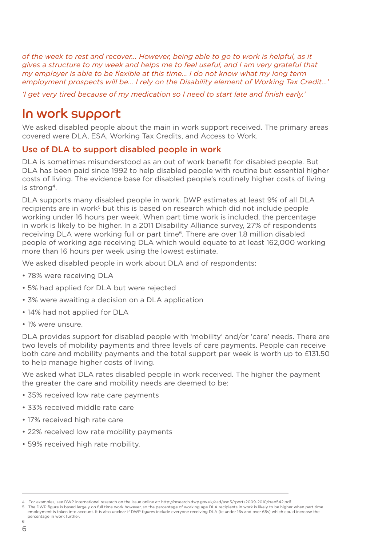*of the week to rest and recover... However, being able to go to work is helpful, as it gives a structure to my week and helps me to feel useful, and I am very grateful that my employer is able to be flexible at this time... I do not know what my long term employment prospects will be... I rely on the Disability element of Working Tax Credit...'*

*'I get very tired because of my medication so I need to start late and finish early.'*

### In work support

We asked disabled people about the main in work support received. The primary areas covered were DLA, ESA, Working Tax Credits, and Access to Work.

#### Use of DLA to support disabled people in work

DLA is sometimes misunderstood as an out of work benefit for disabled people. But DLA has been paid since 1992 to help disabled people with routine but essential higher costs of living. The evidence base for disabled people's routinely higher costs of living is strong4.

DLA supports many disabled people in work. DWP estimates at least 9% of all DLA recipients are in work<sup>5</sup> but this is based on research which did not include people working under 16 hours per week. When part time work is included, the percentage in work is likely to be higher. In a 2011 Disability Alliance survey, 27% of respondents receiving DLA were working full or part time<sup>6</sup>. There are over 1.8 million disabled people of working age receiving DLA which would equate to at least 162,000 working more than 16 hours per week using the lowest estimate.

We asked disabled people in work about DLA and of respondents:

- 78% were receiving DLA
- 5% had applied for DLA but were rejected
- 3% were awaiting a decision on a DLA application
- 14% had not applied for DLA
- 1% were unsure.

DLA provides support for disabled people with 'mobility' and/or 'care' needs. There are two levels of mobility payments and three levels of care payments. People can receive both care and mobility payments and the total support per week is worth up to £131.50 to help manage higher costs of living.

We asked what DLA rates disabled people in work received. The higher the payment the greater the care and mobility needs are deemed to be:

- 35% received low rate care payments
- 33% received middle rate care
- 17% received high rate care
- 22% received low rate mobility payments
- 59% received high rate mobility.

<sup>4</sup> For examples, see DWP international research on the issue online at: http://research.dwp.gov.uk/asd/asd5/rports2009-2010/rrep542.pdf

<sup>5</sup> The DWP figure is based largely on full time work however, so the percentage of working age DLA recipients in work is likely to be higher when part time employment is taken into account. It is also unclear if DWP figures include everyone receiving DLA (ie under 16s and over 65s) which could increase the percentage in work further.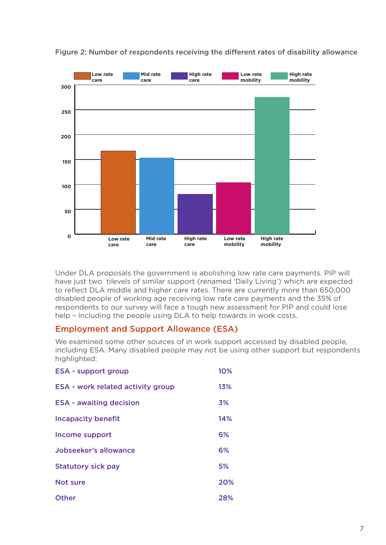

Figure 2: Number of respondents receiving the different rates of disability allowance

Under DLA proposals the government is abolishing low rate care payments. PIP will have just two tilevels of similar support (renamed 'Daily Living') which are expected to reflect DLA middle and higher care rates. There are currently more than 650,000 disabled people of working age receiving low rate care payments and the 35% of respondents to our survey will face a tough new assessment for PIP and could lose help – including the people using DLA to help towards in work costs.

#### Employment and Support Allowance (ESA)

We examined some other sources of in work support accessed by disabled people, including ESA. Many disabled people may not be using other support but respondents highlighted:

| <b>ESA - support group</b>               | 10% |
|------------------------------------------|-----|
| <b>ESA - work related activity group</b> | 13% |
| <b>ESA - awaiting decision</b>           | 3%  |
| <b>Incapacity benefit</b>                | 14% |
| Income support                           | 6%  |
| Jobseeker's allowance                    | 6%  |
| <b>Statutory sick pay</b>                | 5%  |
| Not sure                                 | 20% |
| Other                                    | 28% |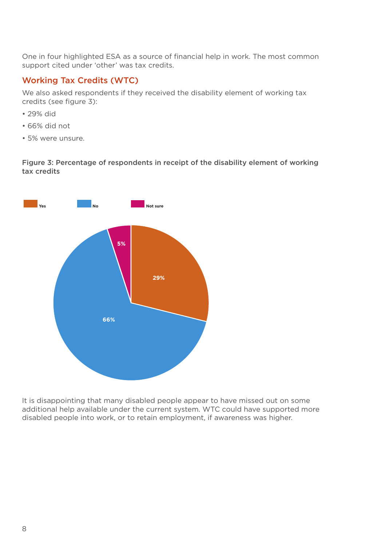One in four highlighted ESA as a source of financial help in work. The most common support cited under 'other' was tax credits.

#### Working Tax Credits (WTC)

We also asked respondents if they received the disability element of working tax credits (see figure 3):

- 29% did
- 66% did not
- 5% were unsure.

Figure 3: Percentage of respondents in receipt of the disability element of working tax credits



It is disappointing that many disabled people appear to have missed out on some additional help available under the current system. WTC could have supported more disabled people into work, or to retain employment, if awareness was higher.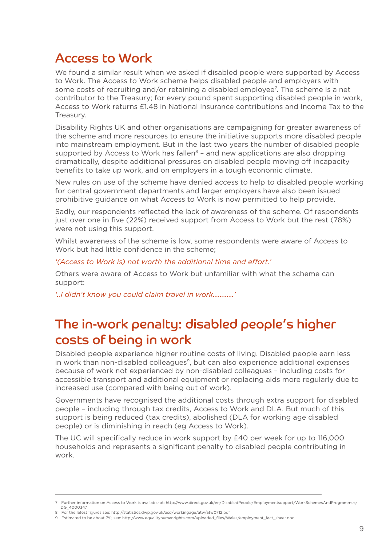## Access to Work

We found a similar result when we asked if disabled people were supported by Access to Work. The Access to Work scheme helps disabled people and employers with some costs of recruiting and/or retaining a disabled employee<sup>7</sup>. The scheme is a net contributor to the Treasury; for every pound spent supporting disabled people in work, Access to Work returns £1.48 in National Insurance contributions and Income Tax to the Treasury.

Disability Rights UK and other organisations are campaigning for greater awareness of the scheme and more resources to ensure the initiative supports more disabled people into mainstream employment. But in the last two years the number of disabled people supported by Access to Work has fallen $8$  – and new applications are also dropping dramatically, despite additional pressures on disabled people moving off incapacity benefits to take up work, and on employers in a tough economic climate.

New rules on use of the scheme have denied access to help to disabled people working for central government departments and larger employers have also been issued prohibitive guidance on what Access to Work is now permitted to help provide.

Sadly, our respondents reflected the lack of awareness of the scheme. Of respondents just over one in five (22%) received support from Access to Work but the rest (78%) were not using this support.

Whilst awareness of the scheme is low, some respondents were aware of Access to Work but had little confidence in the scheme;

*'(Access to Work is) not worth the additional time and effort.'*

Others were aware of Access to Work but unfamiliar with what the scheme can support:

*'..I didn't know you could claim travel in work…………'*

## The in-work penalty: disabled people's higher costs of being in work

Disabled people experience higher routine costs of living. Disabled people earn less in work than non-disabled colleagues<sup>9</sup>, but can also experience additional expenses because of work not experienced by non-disabled colleagues – including costs for accessible transport and additional equipment or replacing aids more regularly due to increased use (compared with being out of work).

Governments have recognised the additional costs through extra support for disabled people – including through tax credits, Access to Work and DLA. But much of this support is being reduced (tax credits), abolished (DLA for working age disabled people) or is diminishing in reach (eg Access to Work).

The UC will specifically reduce in work support by £40 per week for up to 116,000 households and represents a significant penalty to disabled people contributing in work.

<sup>7</sup> Further information on Access to Work is available at: http://www.direct.gov.uk/en/DisabledPeople/Employmentsupport/WorkSchemesAndProgrammes/ DG\_4000347

<sup>8</sup> For the latest figures see: http://statistics.dwp.gov.uk/asd/workingage/atw/atw0712.pdf

<sup>9</sup> Estimated to be about 7%; see: http://www.equalityhumanrights.com/uploaded\_files/Wales/employment\_fact\_sheet.doc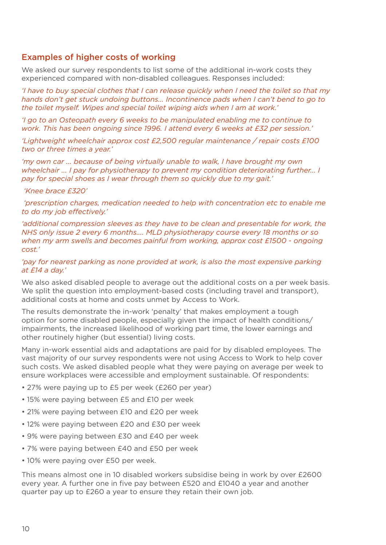#### Examples of higher costs of working

We asked our survey respondents to list some of the additional in-work costs they experienced compared with non-disabled colleagues. Responses included:

*'I have to buy special clothes that I can release quickly when I need the toilet so that my hands don't get stuck undoing buttons... Incontinence pads when I can't bend to go to the toilet myself. Wipes and special toilet wiping aids when I am at work.'*

*'I go to an Osteopath every 6 weeks to be manipulated enabling me to continue to work. This has been ongoing since 1996. I attend every 6 weeks at £32 per session.'*

*'Lightweight wheelchair approx cost £2,500 regular maintenance / repair costs £100 two or three times a year.'*

*'my own car ... because of being virtually unable to walk, I have brought my own wheelchair ... I pay for physiotherapy to prevent my condition deteriorating further... I pay for special shoes as I wear through them so quickly due to my gait.'*

 *'Knee brace £320'*

*'prescription charges, medication needed to help with concentration etc to enable me to do my job effectively.'*

*'additional compression sleeves as they have to be clean and presentable for work, the NHS only issue 2 every 6 months.... MLD physiotherapy course every 18 months or so when my arm swells and becomes painful from working, approx cost £1500 - ongoing cost.'*

#### *'pay for nearest parking as none provided at work, is also the most expensive parking at £14 a day.'*

We also asked disabled people to average out the additional costs on a per week basis. We split the question into employment-based costs (including travel and transport), additional costs at home and costs unmet by Access to Work.

The results demonstrate the in-work 'penalty' that makes employment a tough option for some disabled people, especially given the impact of health conditions/ impairments, the increased likelihood of working part time, the lower earnings and other routinely higher (but essential) living costs.

Many in-work essential aids and adaptations are paid for by disabled employees. The vast majority of our survey respondents were not using Access to Work to help cover such costs. We asked disabled people what they were paying on average per week to ensure workplaces were accessible and employment sustainable. Of respondents:

- 27% were paying up to £5 per week (£260 per year)
- 15% were paying between £5 and £10 per week
- 21% were paying between £10 and £20 per week
- 12% were paying between £20 and £30 per week
- 9% were paying between £30 and £40 per week
- 7% were paying between £40 and £50 per week
- 10% were paying over £50 per week.

This means almost one in 10 disabled workers subsidise being in work by over £2600 every year. A further one in five pay between £520 and £1040 a year and another quarter pay up to £260 a year to ensure they retain their own job.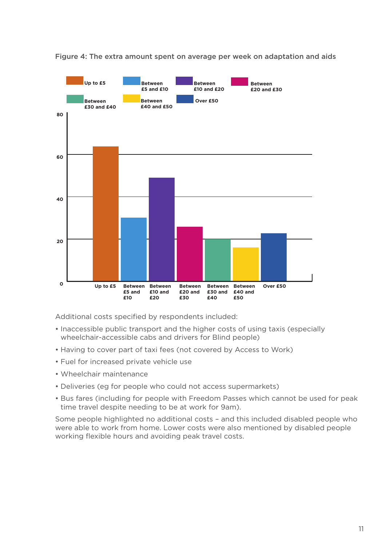

Figure 4: The extra amount spent on average per week on adaptation and aids

Additional costs specified by respondents included:

- Inaccessible public transport and the higher costs of using taxis (especially wheelchair-accessible cabs and drivers for Blind people)
- Having to cover part of taxi fees (not covered by Access to Work)
- Fuel for increased private vehicle use
- Wheelchair maintenance
- Deliveries (eg for people who could not access supermarkets)
- Bus fares (including for people with Freedom Passes which cannot be used for peak time travel despite needing to be at work for 9am).

Some people highlighted no additional costs – and this included disabled people who were able to work from home. Lower costs were also mentioned by disabled people working flexible hours and avoiding peak travel costs.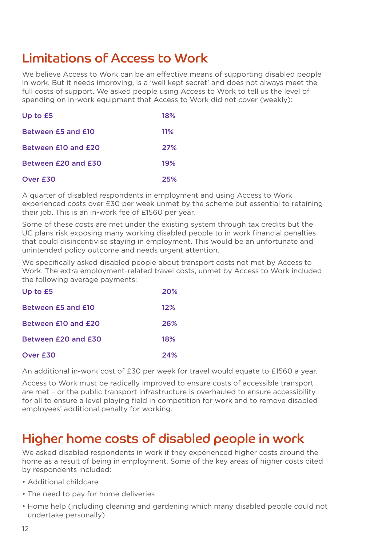## Limitations of Access to Work

We believe Access to Work can be an effective means of supporting disabled people in work. But it needs improving, is a 'well kept secret' and does not always meet the full costs of support. We asked people using Access to Work to tell us the level of spending on in-work equipment that Access to Work did not cover (weekly):

| Up to £5            | 18% |
|---------------------|-----|
| Between £5 and £10  | 11% |
| Between £10 and £20 | 27% |
| Between £20 and £30 | 19% |
| Over £30            | 25% |

A quarter of disabled respondents in employment and using Access to Work experienced costs over £30 per week unmet by the scheme but essential to retaining their job. This is an in-work fee of £1560 per year.

Some of these costs are met under the existing system through tax credits but the UC plans risk exposing many working disabled people to in work financial penalties that could disincentivise staying in employment. This would be an unfortunate and unintended policy outcome and needs urgent attention.

We specifically asked disabled people about transport costs not met by Access to Work. The extra employment-related travel costs, unmet by Access to Work included the following average payments:

| Up to £5            | 20% |
|---------------------|-----|
| Between £5 and £10  | 12% |
| Between £10 and £20 | 26% |
| Between £20 and £30 | 18% |
| Over £30            | 24% |

An additional in-work cost of £30 per week for travel would equate to £1560 a year.

Access to Work must be radically improved to ensure costs of accessible transport are met – or the public transport infrastructure is overhauled to ensure accessibility for all to ensure a level playing field in competition for work and to remove disabled employees' additional penalty for working.

## Higher home costs of disabled people in work

We asked disabled respondents in work if they experienced higher costs around the home as a result of being in employment. Some of the key areas of higher costs cited by respondents included:

- Additional childcare
- The need to pay for home deliveries
- Home help (including cleaning and gardening which many disabled people could not undertake personally)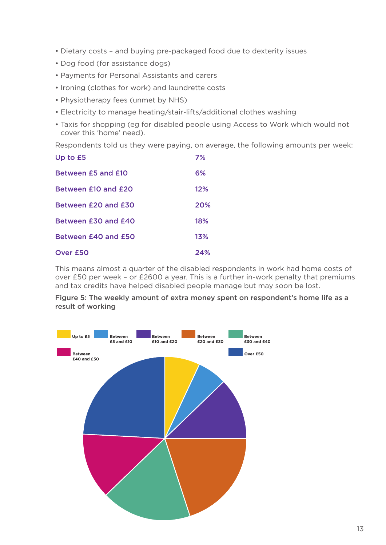- Dietary costs and buying pre-packaged food due to dexterity issues
- Dog food (for assistance dogs)
- Payments for Personal Assistants and carers
- Ironing (clothes for work) and laundrette costs
- Physiotherapy fees (unmet by NHS)
- Electricity to manage heating/stair-lifts/additional clothes washing
- Taxis for shopping (eg for disabled people using Access to Work which would not cover this 'home' need).

Respondents told us they were paying, on average, the following amounts per week:

| Up to £5            | 7%  |
|---------------------|-----|
| Between £5 and £10  | 6%  |
| Between £10 and £20 | 12% |
| Between £20 and £30 | 20% |
| Between £30 and £40 | 18% |
| Between £40 and £50 | 13% |
| Over £50            | 24% |

This means almost a quarter of the disabled respondents in work had home costs of over £50 per week – or £2600 a year. This is a further in-work penalty that premiums and tax credits have helped disabled people manage but may soon be lost.

Figure 5: The weekly amount of extra money spent on respondent's home life as a result of working

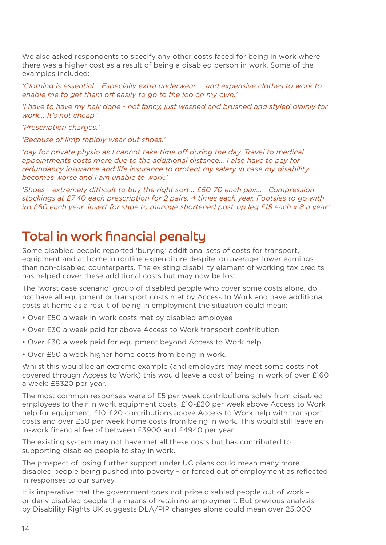We also asked respondents to specify any other costs faced for being in work where there was a higher cost as a result of being a disabled person in work. Some of the examples included:

*'Clothing is essential... Especially extra underwear ... and expensive clothes to work to enable me to get them off easily to go to the loo on my own.'*

*'I have to have my hair done - not fancy, just washed and brushed and styled plainly for work... It's not cheap.'*

*'Prescription charges.'*

*'Because of limp rapidly wear out shoes.'*

'pay for private physio as I cannot take time off during the day. Travel to medical *appointments costs more due to the additional distance... I also have to pay for redundancy insurance and life insurance to protect my salary in case my disability becomes worse and I am unable to work.'*

*'Shoes - extremely difficult to buy the right sort... £50-70 each pair... Compression stockings at £7.40 each prescription for 2 pairs, 4 times each year. Footsies to go with iro £60 each year; insert for shoe to manage shortened post-op leg £15 each x 8 a year.'*

#### Total in work financial penalty

Some disabled people reported 'burying' additional sets of costs for transport, equipment and at home in routine expenditure despite, on average, lower earnings than non-disabled counterparts. The existing disability element of working tax credits has helped cover these additional costs but may now be lost.

The 'worst case scenario' group of disabled people who cover some costs alone, do not have all equipment or transport costs met by Access to Work and have additional costs at home as a result of being in employment the situation could mean:

- Over £50 a week in-work costs met by disabled employee
- Over £30 a week paid for above Access to Work transport contribution
- Over £30 a week paid for equipment beyond Access to Work help
- Over £50 a week higher home costs from being in work.

Whilst this would be an extreme example (and employers may meet some costs not covered through Access to Work) this would leave a cost of being in work of over £160 a week: £8320 per year.

The most common responses were of £5 per week contributions solely from disabled employees to their in work equipment costs, £10-£20 per week above Access to Work help for equipment, £10-£20 contributions above Access to Work help with transport costs and over £50 per week home costs from being in work. This would still leave an in-work financial fee of between £3900 and £4940 per year.

The existing system may not have met all these costs but has contributed to supporting disabled people to stay in work.

The prospect of losing further support under UC plans could mean many more disabled people being pushed into poverty – or forced out of employment as reflected in responses to our survey.

It is imperative that the government does not price disabled people out of work – or deny disabled people the means of retaining employment. But previous analysis by Disability Rights UK suggests DLA/PIP changes alone could mean over 25,000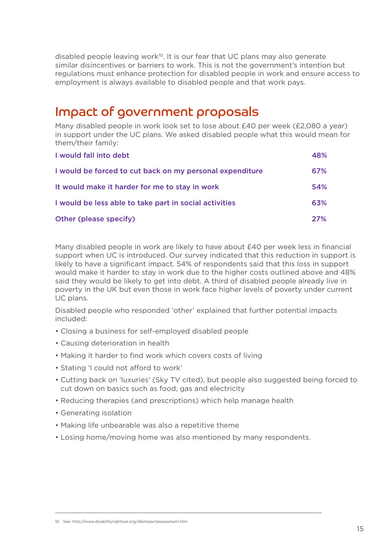disabled people leaving work<sup>10</sup>. It is our fear that UC plans may also generate similar disincentives or barriers to work. This is not the government's intention but regulations must enhance protection for disabled people in work and ensure access to employment is always available to disabled people and that work pays.

#### Impact of government proposals

Many disabled people in work look set to lose about £40 per week (£2,080 a year) in support under the UC plans. We asked disabled people what this would mean for them/their family:

| I would fall into debt                                   | 48%        |
|----------------------------------------------------------|------------|
| I would be forced to cut back on my personal expenditure | 67%        |
| It would make it harder for me to stay in work           | 54%        |
| I would be less able to take part in social activities   | 63%        |
| Other (please specify)                                   | <b>27%</b> |

Many disabled people in work are likely to have about £40 per week less in financial support when UC is introduced. Our survey indicated that this reduction in support is likely to have a significant impact. 54% of respondents said that this loss in support would make it harder to stay in work due to the higher costs outlined above and 48% said they would be likely to get into debt. A third of disabled people already live in poverty in the UK but even those in work face higher levels of poverty under current UC plans.

Disabled people who responded 'other' explained that further potential impacts included:

- Closing a business for self-employed disabled people
- Causing deterioration in health
- Making it harder to find work which covers costs of living
- Stating 'I could not afford to work'
- Cutting back on 'luxuries' (Sky TV cited), but people also suggested being forced to cut down on basics such as food, gas and electricity
- Reducing therapies (and prescriptions) which help manage health
- Generating isolation
- Making life unbearable was also a repetitive theme
- Losing home/moving home was also mentioned by many respondents.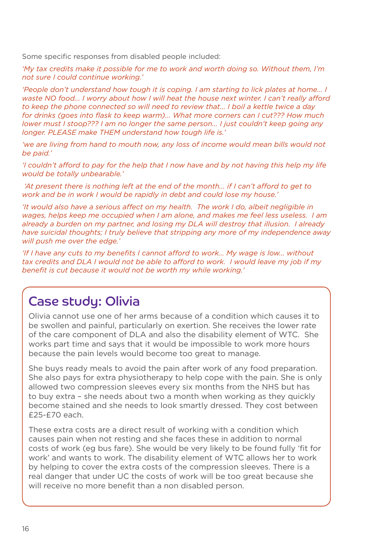Some specific responses from disabled people included:

*'My tax credits make it possible for me to work and worth doing so. Without them, I'm not sure I could continue working.'*

*'People don't understand how tough it is coping. I am starting to lick plates at home... I waste NO food... I worry about how I will heat the house next winter. I can't really afford to keep the phone connected so will need to review that... I boil a kettle twice a day for drinks (goes into flask to keep warm)... What more corners can I cut??? How much lower must I stoop??? I am no longer the same person... I just couldn't keep going any longer. PLEASE make THEM understand how tough life is.'*

'we are living from hand to mouth now, any loss of income would mean bills would not *be paid.'*

*'I couldn't afford to pay for the help that I now have and by not having this help my life would be totally unbearable.'*

 *'At present there is nothing left at the end of the month... if I can't afford to get to work and be in work I would be rapidly in debt and could lose my house.'*

*'It would also have a serious affect on my health. The work I do, albeit negligible in wages, helps keep me occupied when I am alone, and makes me feel less useless. I am already a burden on my partner, and losing my DLA will destroy that illusion. I already have suicidal thoughts; I truly believe that stripping any more of my independence away will push me over the edge.'*

*'If I have any cuts to my benefits I cannot afford to work... My wage is low... without tax credits and DLA I would not be able to afford to work. I would leave my job if my benefit is cut because it would not be worth my while working.'*

#### Case study: Olivia

Olivia cannot use one of her arms because of a condition which causes it to be swollen and painful, particularly on exertion. She receives the lower rate of the care component of DLA and also the disability element of WTC. She works part time and says that it would be impossible to work more hours because the pain levels would become too great to manage.

She buys ready meals to avoid the pain after work of any food preparation. She also pays for extra physiotherapy to help cope with the pain. She is only allowed two compression sleeves every six months from the NHS but has to buy extra – she needs about two a month when working as they quickly become stained and she needs to look smartly dressed. They cost between £25-£70 each.

These extra costs are a direct result of working with a condition which causes pain when not resting and she faces these in addition to normal costs of work (eg bus fare). She would be very likely to be found fully 'fit for work' and wants to work. The disability element of WTC allows her to work by helping to cover the extra costs of the compression sleeves. There is a real danger that under UC the costs of work will be too great because she will receive no more benefit than a non disabled person.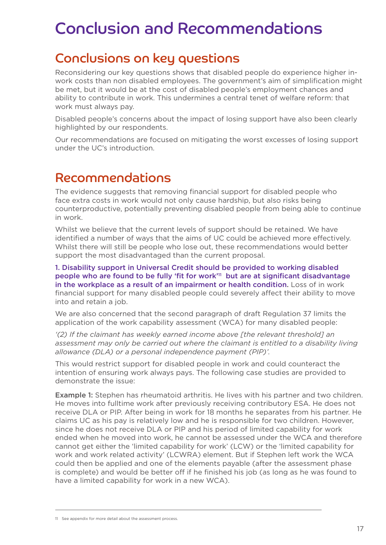## Conclusion and Recommendations

## Conclusions on key questions

Reconsidering our key questions shows that disabled people do experience higher inwork costs than non disabled employees. The government's aim of simplification might be met, but it would be at the cost of disabled people's employment chances and ability to contribute in work. This undermines a central tenet of welfare reform: that work must always pay.

Disabled people's concerns about the impact of losing support have also been clearly highlighted by our respondents.

Our recommendations are focused on mitigating the worst excesses of losing support under the UC's introduction.

#### Recommendations

The evidence suggests that removing financial support for disabled people who face extra costs in work would not only cause hardship, but also risks being counterproductive, potentially preventing disabled people from being able to continue in work.

Whilst we believe that the current levels of support should be retained. We have identified a number of ways that the aims of UC could be achieved more effectively. Whilst there will still be people who lose out, these recommendations would better support the most disadvantaged than the current proposal.

1. Disability support in Universal Credit should be provided to working disabled people who are found to be fully 'fit for work'11 but are at significant disadvantage in the workplace as a result of an impairment or health condition. Loss of in work financial support for many disabled people could severely affect their ability to move into and retain a job.

We are also concerned that the second paragraph of draft Regulation 37 limits the application of the work capability assessment (WCA) for many disabled people:

*'(2) If the claimant has weekly earned income above [the relevant threshold] an assessment may only be carried out where the claimant is entitled to a disability living allowance (DLA) or a personal independence payment (PIP)'.* 

This would restrict support for disabled people in work and could counteract the intention of ensuring work always pays. The following case studies are provided to demonstrate the issue:

Example 1: Stephen has rheumatoid arthritis. He lives with his partner and two children. He moves into fulltime work after previously receiving contributory ESA. He does not receive DLA or PIP. After being in work for 18 months he separates from his partner. He claims UC as his pay is relatively low and he is responsible for two children. However, since he does not receive DLA or PIP and his period of limited capability for work ended when he moved into work, he cannot be assessed under the WCA and therefore cannot get either the 'limited capability for work' (LCW) or the 'limited capability for work and work related activity' (LCWRA) element. But if Stephen left work the WCA could then be applied and one of the elements payable (after the assessment phase is complete) and would be better off if he finished his job (as long as he was found to have a limited capability for work in a new WCA).

11 See appendix for more detail about the assessment process.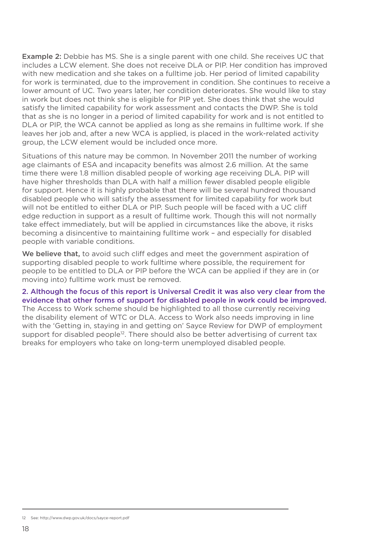Example 2: Debbie has MS. She is a single parent with one child. She receives UC that includes a LCW element. She does not receive DLA or PIP. Her condition has improved with new medication and she takes on a fulltime job. Her period of limited capability for work is terminated, due to the improvement in condition. She continues to receive a lower amount of UC. Two years later, her condition deteriorates. She would like to stay in work but does not think she is eligible for PIP yet. She does think that she would satisfy the limited capability for work assessment and contacts the DWP. She is told that as she is no longer in a period of limited capability for work and is not entitled to DLA or PIP, the WCA cannot be applied as long as she remains in fulltime work. If she leaves her job and, after a new WCA is applied, is placed in the work-related activity group, the LCW element would be included once more.

Situations of this nature may be common. In November 2011 the number of working age claimants of ESA and incapacity benefits was almost 2.6 million. At the same time there were 1.8 million disabled people of working age receiving DLA. PIP will have higher thresholds than DLA with half a million fewer disabled people eligible for support. Hence it is highly probable that there will be several hundred thousand disabled people who will satisfy the assessment for limited capability for work but will not be entitled to either DLA or PIP. Such people will be faced with a UC cliff edge reduction in support as a result of fulltime work. Though this will not normally take effect immediately, but will be applied in circumstances like the above, it risks becoming a disincentive to maintaining fulltime work – and especially for disabled people with variable conditions.

We believe that, to avoid such cliff edges and meet the government aspiration of supporting disabled people to work fulltime where possible, the requirement for people to be entitled to DLA or PIP before the WCA can be applied if they are in (or moving into) fulltime work must be removed.

#### 2. Although the focus of this report is Universal Credit it was also very clear from the evidence that other forms of support for disabled people in work could be improved.

The Access to Work scheme should be highlighted to all those currently receiving the disability element of WTC or DLA. Access to Work also needs improving in line with the 'Getting in, staying in and getting on' Sayce Review for DWP of employment support for disabled people<sup>12</sup>. There should also be better advertising of current tax breaks for employers who take on long-term unemployed disabled people.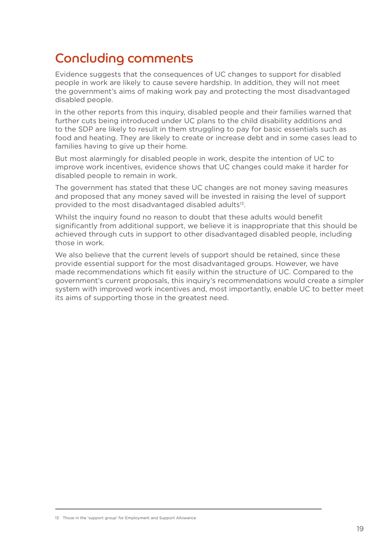## Concluding comments

Evidence suggests that the consequences of UC changes to support for disabled people in work are likely to cause severe hardship. In addition, they will not meet the government's aims of making work pay and protecting the most disadvantaged disabled people.

In the other reports from this inquiry, disabled people and their families warned that further cuts being introduced under UC plans to the child disability additions and to the SDP are likely to result in them struggling to pay for basic essentials such as food and heating. They are likely to create or increase debt and in some cases lead to families having to give up their home.

But most alarmingly for disabled people in work, despite the intention of UC to improve work incentives, evidence shows that UC changes could make it harder for disabled people to remain in work.

The government has stated that these UC changes are not money saving measures and proposed that any money saved will be invested in raising the level of support provided to the most disadvantaged disabled adults<sup>13</sup>.

Whilst the inquiry found no reason to doubt that these adults would benefit significantly from additional support, we believe it is inappropriate that this should be achieved through cuts in support to other disadvantaged disabled people, including those in work.

We also believe that the current levels of support should be retained, since these provide essential support for the most disadvantaged groups. However, we have made recommendations which fit easily within the structure of UC. Compared to the government's current proposals, this inquiry's recommendations would create a simpler system with improved work incentives and, most importantly, enable UC to better meet its aims of supporting those in the greatest need.